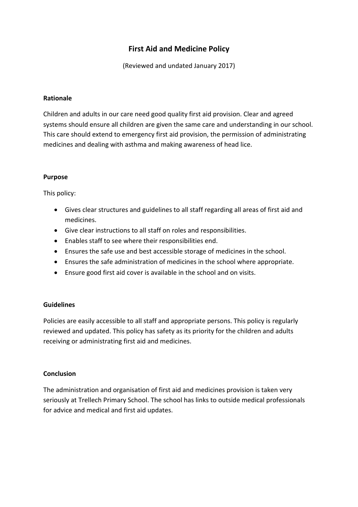# **First Aid and Medicine Policy**

(Reviewed and undated January 2017)

### **Rationale**

Children and adults in our care need good quality first aid provision. Clear and agreed systems should ensure all children are given the same care and understanding in our school. This care should extend to emergency first aid provision, the permission of administrating medicines and dealing with asthma and making awareness of head lice.

### **Purpose**

This policy:

- Gives clear structures and guidelines to all staff regarding all areas of first aid and medicines.
- Give clear instructions to all staff on roles and responsibilities.
- Enables staff to see where their responsibilities end.
- Ensures the safe use and best accessible storage of medicines in the school.
- Ensures the safe administration of medicines in the school where appropriate.
- Ensure good first aid cover is available in the school and on visits.

# **Guidelines**

Policies are easily accessible to all staff and appropriate persons. This policy is regularly reviewed and updated. This policy has safety as its priority for the children and adults receiving or administrating first aid and medicines.

# **Conclusion**

The administration and organisation of first aid and medicines provision is taken very seriously at Trellech Primary School. The school has links to outside medical professionals for advice and medical and first aid updates.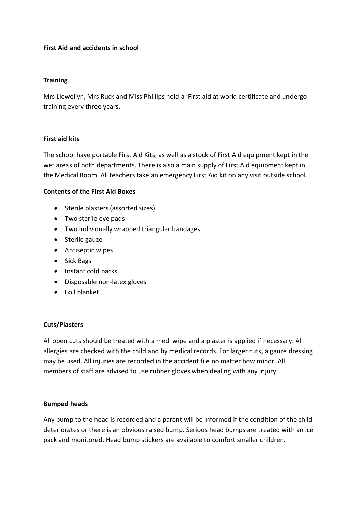# **First Aid and accidents in school**

## **Training**

Mrs Llewellyn, Mrs Ruck and Miss Phillips hold a 'First aid at work' certificate and undergo training every three years.

### **First aid kits**

The school have portable First Aid Kits, as well as a stock of First Aid equipment kept in the wet areas of both departments. There is also a main supply of First Aid equipment kept in the Medical Room. All teachers take an emergency First Aid kit on any visit outside school.

### **Contents of the First Aid Boxes**

- Sterile plasters (assorted sizes)
- Two sterile eye pads
- Two individually wrapped triangular bandages
- Sterile gauze
- Antiseptic wipes
- Sick Bags
- Instant cold packs
- Disposable non-latex gloves
- Foil blanket

# **Cuts/Plasters**

All open cuts should be treated with a medi wipe and a plaster is applied if necessary. All allergies are checked with the child and by medical records. For larger cuts, a gauze dressing may be used. All injuries are recorded in the accident file no matter how minor. All members of staff are advised to use rubber gloves when dealing with any injury.

# **Bumped heads**

Any bump to the head is recorded and a parent will be informed if the condition of the child deteriorates or there is an obvious raised bump. Serious head bumps are treated with an ice pack and monitored. Head bump stickers are available to comfort smaller children.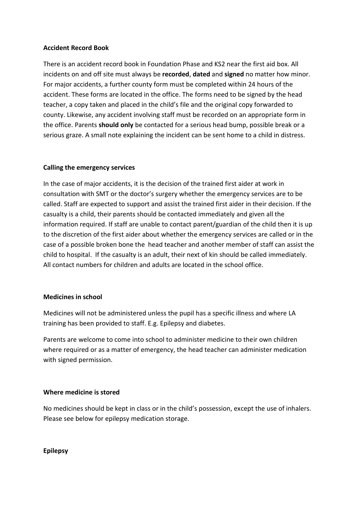### **Accident Record Book**

There is an accident record book in Foundation Phase and KS2 near the first aid box. All incidents on and off site must always be **recorded**, **dated** and **signed** no matter how minor. For major accidents, a further county form must be completed within 24 hours of the accident. These forms are located in the office. The forms need to be signed by the head teacher, a copy taken and placed in the child's file and the original copy forwarded to county. Likewise, any accident involving staff must be recorded on an appropriate form in the office. Parents **should only** be contacted for a serious head bump, possible break or a serious graze. A small note explaining the incident can be sent home to a child in distress.

### **Calling the emergency services**

In the case of major accidents, it is the decision of the trained first aider at work in consultation with SMT or the doctor's surgery whether the emergency services are to be called. Staff are expected to support and assist the trained first aider in their decision. If the casualty is a child, their parents should be contacted immediately and given all the information required. If staff are unable to contact parent/guardian of the child then it is up to the discretion of the first aider about whether the emergency services are called or in the case of a possible broken bone the head teacher and another member of staff can assist the child to hospital. If the casualty is an adult, their next of kin should be called immediately. All contact numbers for children and adults are located in the school office.

#### **Medicines in school**

Medicines will not be administered unless the pupil has a specific illness and where LA training has been provided to staff. E.g. Epilepsy and diabetes.

Parents are welcome to come into school to administer medicine to their own children where required or as a matter of emergency, the head teacher can administer medication with signed permission.

### **Where medicine is stored**

No medicines should be kept in class or in the child's possession, except the use of inhalers. Please see below for epilepsy medication storage.

#### **Epilepsy**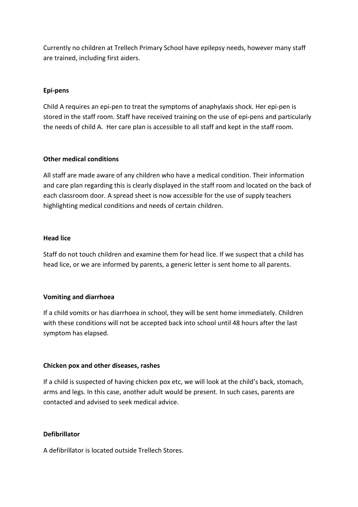Currently no children at Trellech Primary School have epilepsy needs, however many staff are trained, including first aiders.

### **Epi-pens**

Child A requires an epi-pen to treat the symptoms of anaphylaxis shock. Her epi-pen is stored in the staff room. Staff have received training on the use of epi-pens and particularly the needs of child A. Her care plan is accessible to all staff and kept in the staff room.

### **Other medical conditions**

All staff are made aware of any children who have a medical condition. Their information and care plan regarding this is clearly displayed in the staff room and located on the back of each classroom door. A spread sheet is now accessible for the use of supply teachers highlighting medical conditions and needs of certain children.

### **Head lice**

Staff do not touch children and examine them for head lice. If we suspect that a child has head lice, or we are informed by parents, a generic letter is sent home to all parents.

### **Vomiting and diarrhoea**

If a child vomits or has diarrhoea in school, they will be sent home immediately. Children with these conditions will not be accepted back into school until 48 hours after the last symptom has elapsed.

### **Chicken pox and other diseases, rashes**

If a child is suspected of having chicken pox etc, we will look at the child's back, stomach, arms and legs. In this case, another adult would be present. In such cases, parents are contacted and advised to seek medical advice.

# **Defibrillator**

A defibrillator is located outside Trellech Stores.